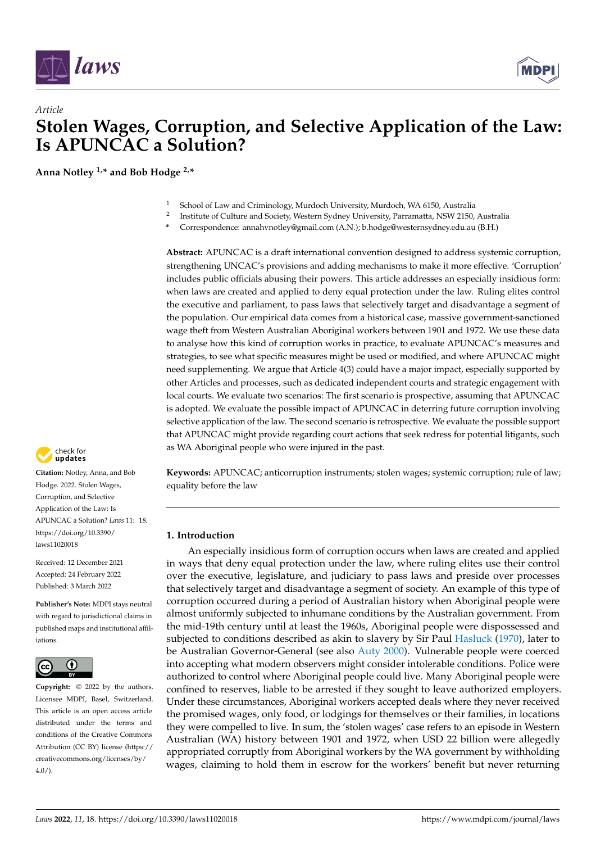

# *Article* **Stolen Wages, Corruption, and Selective Application of the Law: Is APUNCAC a Solution?**

**Anna Notley 1,\* and Bob Hodge 2,\***



- 2 Institute of Culture and Society, Western Sydney University, Parramatta, NSW 2150, Australia
- **\*** Correspondence: annahvnotley@gmail.com (A.N.); b.hodge@westernsydney.edu.au (B.H.)

**Abstract:** APUNCAC is a draft international convention designed to address systemic corruption, strengthening UNCAC's provisions and adding mechanisms to make it more effective. 'Corruption' includes public officials abusing their powers. This article addresses an especially insidious form: when laws are created and applied to deny equal protection under the law. Ruling elites control the executive and parliament, to pass laws that selectively target and disadvantage a segment of the population. Our empirical data comes from a historical case, massive government-sanctioned wage theft from Western Australian Aboriginal workers between 1901 and 1972. We use these data to analyse how this kind of corruption works in practice, to evaluate APUNCAC's measures and strategies, to see what specific measures might be used or modified, and where APUNCAC might need supplementing. We argue that Article 4(3) could have a major impact, especially supported by other Articles and processes, such as dedicated independent courts and strategic engagement with local courts. We evaluate two scenarios: The first scenario is prospective, assuming that APUNCAC is adopted. We evaluate the possible impact of APUNCAC in deterring future corruption involving selective application of the law. The second scenario is retrospective. We evaluate the possible support that APUNCAC might provide regarding court actions that seek redress for potential litigants, such as WA Aboriginal people who were injured in the past.

check for<br>**undates** 

**Citation:** Notley, Anna, and Bob Hodge. 2022. Stolen Wages, Corruption, and Selective Application of the Law: Is APUNCAC a Solution? *Laws* 11: 18. [https://doi.org/10.3390/](https://doi.org/10.3390/laws11020018) [laws11020018](https://doi.org/10.3390/laws11020018)

Received: 12 December 2021 Accepted: 24 February 2022 Published: 3 March 2022

**Publisher's Note:** MDPI stays neutral with regard to jurisdictional claims in published maps and institutional affiliations.



**Copyright:** © 2022 by the authors. Licensee MDPI, Basel, Switzerland. This article is an open access article distributed under the terms and conditions of the Creative Commons Attribution (CC BY) license [\(https://](https://creativecommons.org/licenses/by/4.0/) [creativecommons.org/licenses/by/](https://creativecommons.org/licenses/by/4.0/)  $4.0/$ ).

**Keywords:** APUNCAC; anticorruption instruments; stolen wages; systemic corruption; rule of law; equality before the law

# **1. Introduction**

An especially insidious form of corruption occurs when laws are created and applied in ways that deny equal protection under the law, where ruling elites use their control over the executive, legislature, and judiciary to pass laws and preside over processes that selectively target and disadvantage a segment of society. An example of this type of corruption occurred during a period of Australian history when Aboriginal people were almost uniformly subjected to inhumane conditions by the Australian government. From the mid-19th century until at least the 1960s, Aboriginal people were dispossessed and subjected to conditions described as akin to slavery by Sir Paul [Hasluck](#page-8-0) [\(1970\)](#page-8-0), later to be Australian Governor-General (see also [Auty](#page-8-1) [2000\)](#page-8-1). Vulnerable people were coerced into accepting what modern observers might consider intolerable conditions. Police were authorized to control where Aboriginal people could live. Many Aboriginal people were confined to reserves, liable to be arrested if they sought to leave authorized employers. Under these circumstances, Aboriginal workers accepted deals where they never received the promised wages, only food, or lodgings for themselves or their families, in locations they were compelled to live. In sum, the 'stolen wages' case refers to an episode in Western Australian (WA) history between 1901 and 1972, when USD 22 billion were allegedly appropriated corruptly from Aboriginal workers by the WA government by withholding wages, claiming to hold them in escrow for the workers' benefit but never returning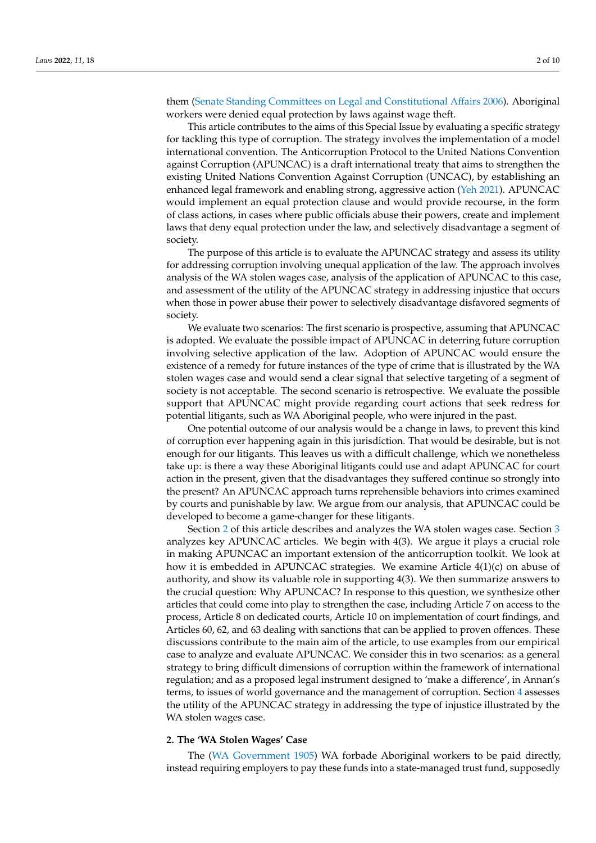them [\(Senate Standing Committees on Legal and Constitutional Affairs](#page-8-2) [2006\)](#page-8-2). Aboriginal workers were denied equal protection by laws against wage theft.

This article contributes to the aims of this Special Issue by evaluating a specific strategy for tackling this type of corruption. The strategy involves the implementation of a model international convention. The Anticorruption Protocol to the United Nations Convention against Corruption (APUNCAC) is a draft international treaty that aims to strengthen the existing United Nations Convention Against Corruption (UNCAC), by establishing an enhanced legal framework and enabling strong, aggressive action [\(Yeh](#page-9-0) [2021\)](#page-9-0). APUNCAC would implement an equal protection clause and would provide recourse, in the form of class actions, in cases where public officials abuse their powers, create and implement laws that deny equal protection under the law, and selectively disadvantage a segment of society.

The purpose of this article is to evaluate the APUNCAC strategy and assess its utility for addressing corruption involving unequal application of the law. The approach involves analysis of the WA stolen wages case, analysis of the application of APUNCAC to this case, and assessment of the utility of the APUNCAC strategy in addressing injustice that occurs when those in power abuse their power to selectively disadvantage disfavored segments of society.

We evaluate two scenarios: The first scenario is prospective, assuming that APUNCAC is adopted. We evaluate the possible impact of APUNCAC in deterring future corruption involving selective application of the law. Adoption of APUNCAC would ensure the existence of a remedy for future instances of the type of crime that is illustrated by the WA stolen wages case and would send a clear signal that selective targeting of a segment of society is not acceptable. The second scenario is retrospective. We evaluate the possible support that APUNCAC might provide regarding court actions that seek redress for potential litigants, such as WA Aboriginal people, who were injured in the past.

One potential outcome of our analysis would be a change in laws, to prevent this kind of corruption ever happening again in this jurisdiction. That would be desirable, but is not enough for our litigants. This leaves us with a difficult challenge, which we nonetheless take up: is there a way these Aboriginal litigants could use and adapt APUNCAC for court action in the present, given that the disadvantages they suffered continue so strongly into the present? An APUNCAC approach turns reprehensible behaviors into crimes examined by courts and punishable by law. We argue from our analysis, that APUNCAC could be developed to become a game-changer for these litigants.

Section [2](#page-1-0) of this article describes and analyzes the WA stolen wages case. Section [3](#page-2-0) analyzes key APUNCAC articles. We begin with 4(3). We argue it plays a crucial role in making APUNCAC an important extension of the anticorruption toolkit. We look at how it is embedded in APUNCAC strategies. We examine Article 4(1)(c) on abuse of authority, and show its valuable role in supporting 4(3). We then summarize answers to the crucial question: Why APUNCAC? In response to this question, we synthesize other articles that could come into play to strengthen the case, including Article 7 on access to the process, Article 8 on dedicated courts, Article 10 on implementation of court findings, and Articles 60, 62, and 63 dealing with sanctions that can be applied to proven offences. These discussions contribute to the main aim of the article, to use examples from our empirical case to analyze and evaluate APUNCAC. We consider this in two scenarios: as a general strategy to bring difficult dimensions of corruption within the framework of international regulation; and as a proposed legal instrument designed to 'make a difference', in Annan's terms, to issues of world governance and the management of corruption. Section [4](#page-6-0) assesses the utility of the APUNCAC strategy in addressing the type of injustice illustrated by the WA stolen wages case.

#### <span id="page-1-0"></span>**2. The 'WA Stolen Wages' Case**

The [\(WA Government](#page-9-1) [1905\)](#page-9-1) WA forbade Aboriginal workers to be paid directly, instead requiring employers to pay these funds into a state-managed trust fund, supposedly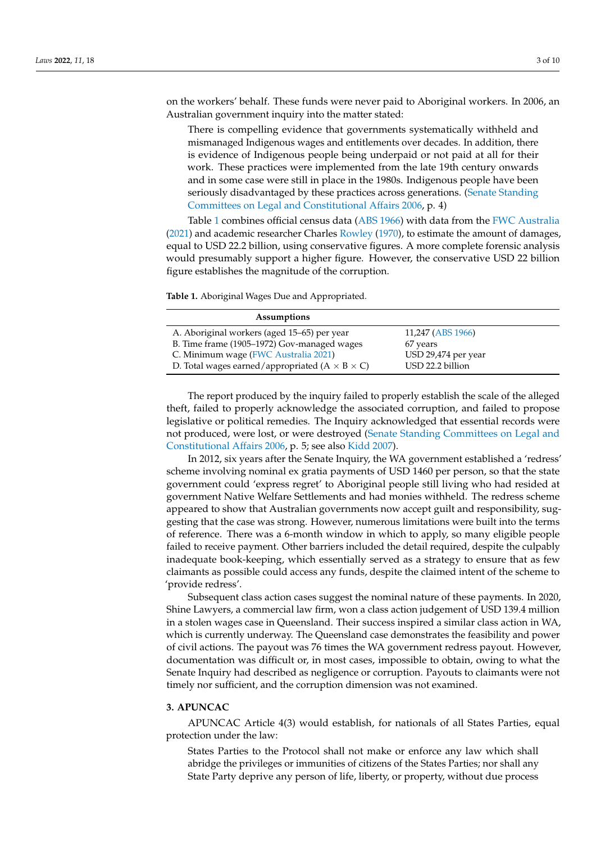on the workers' behalf. These funds were never paid to Aboriginal workers. In 2006, an Australian government inquiry into the matter stated:

There is compelling evidence that governments systematically withheld and mismanaged Indigenous wages and entitlements over decades. In addition, there is evidence of Indigenous people being underpaid or not paid at all for their work. These practices were implemented from the late 19th century onwards and in some case were still in place in the 1980s. Indigenous people have been seriously disadvantaged by these practices across generations. [\(Senate Standing](#page-8-2) [Committees on Legal and Constitutional Affairs](#page-8-2) [2006,](#page-8-2) p. 4)

Table [1](#page-2-1) combines official census data [\(ABS](#page-8-3) [1966\)](#page-8-3) with data from the [FWC Australia](#page-8-4) [\(2021\)](#page-8-4) and academic researcher Charles [Rowley](#page-8-5) [\(1970\)](#page-8-5), to estimate the amount of damages, equal to USD 22.2 billion, using conservative figures. A more complete forensic analysis would presumably support a higher figure. However, the conservative USD 22 billion figure establishes the magnitude of the corruption.

<span id="page-2-1"></span>**Table 1.** Aboriginal Wages Due and Appropriated.

| Assumptions                                                  |                     |
|--------------------------------------------------------------|---------------------|
| A. Aboriginal workers (aged 15–65) per year                  | 11,247 (ABS 1966)   |
| B. Time frame (1905-1972) Gov-managed wages                  | 67 years            |
| C. Minimum wage (FWC Australia 2021)                         | USD 29,474 per year |
| D. Total wages earned/appropriated ( $A \times B \times C$ ) | USD 22.2 billion    |
|                                                              |                     |

The report produced by the inquiry failed to properly establish the scale of the alleged theft, failed to properly acknowledge the associated corruption, and failed to propose legislative or political remedies. The Inquiry acknowledged that essential records were not produced, were lost, or were destroyed [\(Senate Standing Committees on Legal and](#page-8-2) [Constitutional Affairs](#page-8-2) [2006,](#page-8-2) p. 5; see also [Kidd](#page-8-6) [2007\)](#page-8-6).

In 2012, six years after the Senate Inquiry, the WA government established a 'redress' scheme involving nominal ex gratia payments of USD 1460 per person, so that the state government could 'express regret' to Aboriginal people still living who had resided at government Native Welfare Settlements and had monies withheld. The redress scheme appeared to show that Australian governments now accept guilt and responsibility, suggesting that the case was strong. However, numerous limitations were built into the terms of reference. There was a 6-month window in which to apply, so many eligible people failed to receive payment. Other barriers included the detail required, despite the culpably inadequate book-keeping, which essentially served as a strategy to ensure that as few claimants as possible could access any funds, despite the claimed intent of the scheme to 'provide redress'.

Subsequent class action cases suggest the nominal nature of these payments. In 2020, Shine Lawyers, a commercial law firm, won a class action judgement of USD 139.4 million in a stolen wages case in Queensland. Their success inspired a similar class action in WA, which is currently underway. The Queensland case demonstrates the feasibility and power of civil actions. The payout was 76 times the WA government redress payout. However, documentation was difficult or, in most cases, impossible to obtain, owing to what the Senate Inquiry had described as negligence or corruption. Payouts to claimants were not timely nor sufficient, and the corruption dimension was not examined.

# <span id="page-2-0"></span>**3. APUNCAC**

APUNCAC Article 4(3) would establish, for nationals of all States Parties, equal protection under the law:

States Parties to the Protocol shall not make or enforce any law which shall abridge the privileges or immunities of citizens of the States Parties; nor shall any State Party deprive any person of life, liberty, or property, without due process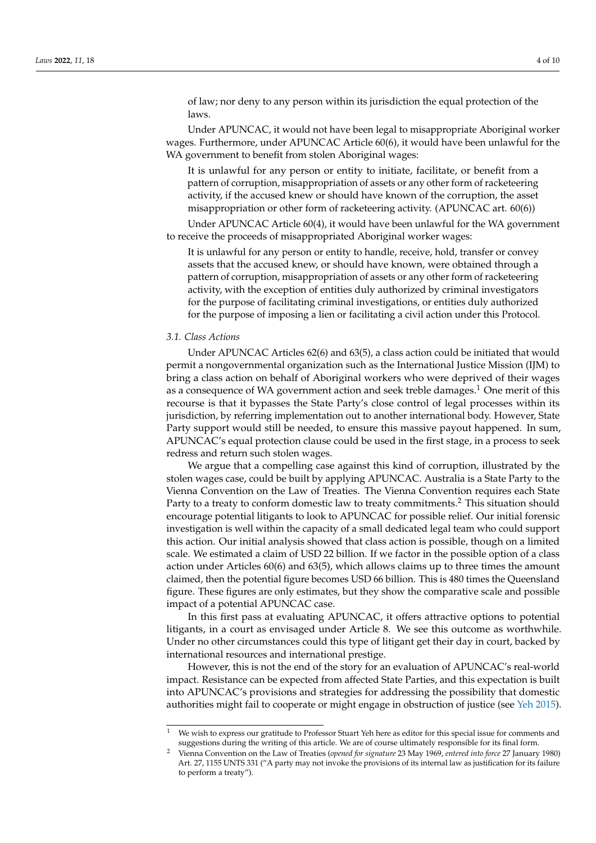of law; nor deny to any person within its jurisdiction the equal protection of the laws.

Under APUNCAC, it would not have been legal to misappropriate Aboriginal worker wages. Furthermore, under APUNCAC Article 60(6), it would have been unlawful for the WA government to benefit from stolen Aboriginal wages:

It is unlawful for any person or entity to initiate, facilitate, or benefit from a pattern of corruption, misappropriation of assets or any other form of racketeering activity, if the accused knew or should have known of the corruption, the asset misappropriation or other form of racketeering activity. (APUNCAC art. 60(6))

Under APUNCAC Article 60(4), it would have been unlawful for the WA government to receive the proceeds of misappropriated Aboriginal worker wages:

It is unlawful for any person or entity to handle, receive, hold, transfer or convey assets that the accused knew, or should have known, were obtained through a pattern of corruption, misappropriation of assets or any other form of racketeering activity, with the exception of entities duly authorized by criminal investigators for the purpose of facilitating criminal investigations, or entities duly authorized for the purpose of imposing a lien or facilitating a civil action under this Protocol.

## *3.1. Class Actions*

Under APUNCAC Articles 62(6) and 63(5), a class action could be initiated that would permit a nongovernmental organization such as the International Justice Mission (IJM) to bring a class action on behalf of Aboriginal workers who were deprived of their wages as a consequence of WA government action and seek treble damages.<sup>1</sup> One merit of this recourse is that it bypasses the State Party's close control of legal processes within its jurisdiction, by referring implementation out to another international body. However, State Party support would still be needed, to ensure this massive payout happened. In sum, APUNCAC's equal protection clause could be used in the first stage, in a process to seek redress and return such stolen wages.

We argue that a compelling case against this kind of corruption, illustrated by the stolen wages case, could be built by applying APUNCAC. Australia is a State Party to the Vienna Convention on the Law of Treaties. The Vienna Convention requires each State Party to a treaty to conform domestic law to treaty commitments.<sup>2</sup> This situation should encourage potential litigants to look to APUNCAC for possible relief. Our initial forensic investigation is well within the capacity of a small dedicated legal team who could support this action. Our initial analysis showed that class action is possible, though on a limited scale. We estimated a claim of USD 22 billion. If we factor in the possible option of a class action under Articles 60(6) and 63(5), which allows claims up to three times the amount claimed, then the potential figure becomes USD 66 billion. This is 480 times the Queensland figure. These figures are only estimates, but they show the comparative scale and possible impact of a potential APUNCAC case.

In this first pass at evaluating APUNCAC, it offers attractive options to potential litigants, in a court as envisaged under Article 8. We see this outcome as worthwhile. Under no other circumstances could this type of litigant get their day in court, backed by international resources and international prestige.

However, this is not the end of the story for an evaluation of APUNCAC's real-world impact. Resistance can be expected from affected State Parties, and this expectation is built into APUNCAC's provisions and strategies for addressing the possibility that domestic authorities might fail to cooperate or might engage in obstruction of justice (see [Yeh](#page-9-2) [2015\)](#page-9-2).

<sup>&</sup>lt;sup>1</sup> We wish to express our gratitude to Professor Stuart Yeh here as editor for this special issue for comments and suggestions during the writing of this article. We are of course ultimately responsible for its final form.

<sup>2</sup> Vienna Convention on the Law of Treaties (*opened for signature* 23 May 1969, *entered into force* 27 January 1980) Art. 27, 1155 UNTS 331 ("A party may not invoke the provisions of its internal law as justification for its failure to perform a treaty").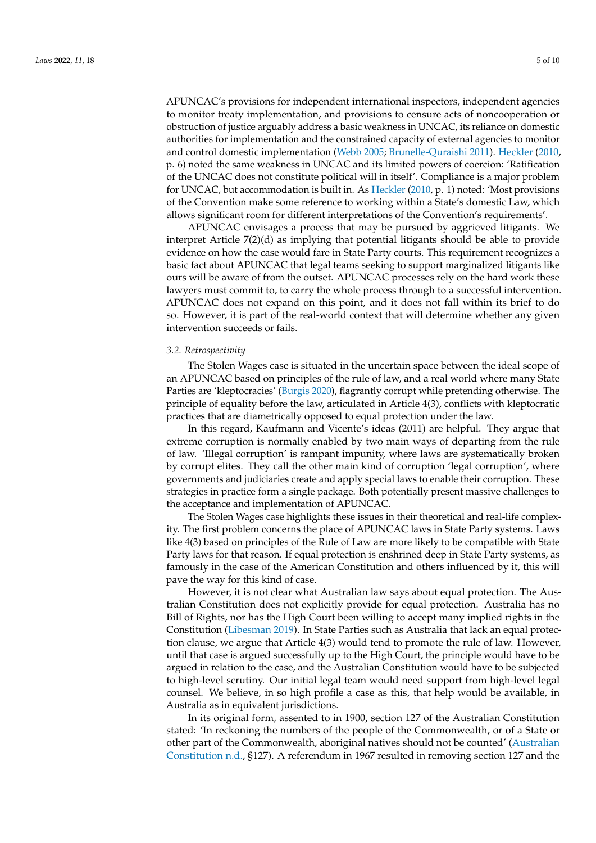APUNCAC's provisions for independent international inspectors, independent agencies to monitor treaty implementation, and provisions to censure acts of noncooperation or obstruction of justice arguably address a basic weakness in UNCAC, its reliance on domestic authorities for implementation and the constrained capacity of external agencies to monitor and control domestic implementation [\(Webb](#page-9-3) [2005;](#page-9-3) [Brunelle-Quraishi](#page-8-7) [2011\)](#page-8-7). [Heckler](#page-8-8) [\(2010,](#page-8-8) p. 6) noted the same weakness in UNCAC and its limited powers of coercion: 'Ratification of the UNCAC does not constitute political will in itself'. Compliance is a major problem for UNCAC, but accommodation is built in. As [Heckler](#page-8-8) [\(2010,](#page-8-8) p. 1) noted: 'Most provisions of the Convention make some reference to working within a State's domestic Law, which allows significant room for different interpretations of the Convention's requirements'.

APUNCAC envisages a process that may be pursued by aggrieved litigants. We interpret Article 7(2)(d) as implying that potential litigants should be able to provide evidence on how the case would fare in State Party courts. This requirement recognizes a basic fact about APUNCAC that legal teams seeking to support marginalized litigants like ours will be aware of from the outset. APUNCAC processes rely on the hard work these lawyers must commit to, to carry the whole process through to a successful intervention. APUNCAC does not expand on this point, and it does not fall within its brief to do so. However, it is part of the real-world context that will determine whether any given intervention succeeds or fails.

#### *3.2. Retrospectivity*

The Stolen Wages case is situated in the uncertain space between the ideal scope of an APUNCAC based on principles of the rule of law, and a real world where many State Parties are 'kleptocracies' [\(Burgis](#page-8-9) [2020\)](#page-8-9), flagrantly corrupt while pretending otherwise. The principle of equality before the law, articulated in Article 4(3), conflicts with kleptocratic practices that are diametrically opposed to equal protection under the law.

In this regard, Kaufmann and Vicente's ideas (2011) are helpful. They argue that extreme corruption is normally enabled by two main ways of departing from the rule of law. 'Illegal corruption' is rampant impunity, where laws are systematically broken by corrupt elites. They call the other main kind of corruption 'legal corruption', where governments and judiciaries create and apply special laws to enable their corruption. These strategies in practice form a single package. Both potentially present massive challenges to the acceptance and implementation of APUNCAC.

The Stolen Wages case highlights these issues in their theoretical and real-life complexity. The first problem concerns the place of APUNCAC laws in State Party systems. Laws like 4(3) based on principles of the Rule of Law are more likely to be compatible with State Party laws for that reason. If equal protection is enshrined deep in State Party systems, as famously in the case of the American Constitution and others influenced by it, this will pave the way for this kind of case.

However, it is not clear what Australian law says about equal protection. The Australian Constitution does not explicitly provide for equal protection. Australia has no Bill of Rights, nor has the High Court been willing to accept many implied rights in the Constitution [\(Libesman](#page-8-10) [2019\)](#page-8-10). In State Parties such as Australia that lack an equal protection clause, we argue that Article 4(3) would tend to promote the rule of law. However, until that case is argued successfully up to the High Court, the principle would have to be argued in relation to the case, and the Australian Constitution would have to be subjected to high-level scrutiny. Our initial legal team would need support from high-level legal counsel. We believe, in so high profile a case as this, that help would be available, in Australia as in equivalent jurisdictions.

In its original form, assented to in 1900, section 127 of the Australian Constitution stated: 'In reckoning the numbers of the people of the Commonwealth, or of a State or other part of the Commonwealth, aboriginal natives should not be counted' [\(Australian](#page-8-11) [Constitution](#page-8-11) [n.d.,](#page-8-11) §127). A referendum in 1967 resulted in removing section 127 and the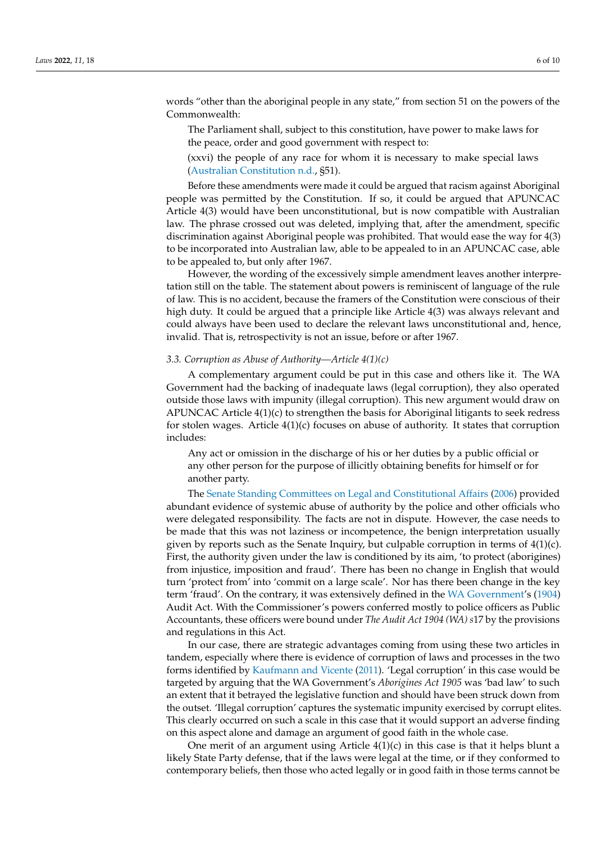words "other than the aboriginal people in any state," from section 51 on the powers of the Commonwealth:

The Parliament shall, subject to this constitution, have power to make laws for the peace, order and good government with respect to:

(xxvi) the people of any race for whom it is necessary to make special laws [\(Australian Constitution](#page-8-11) [n.d.,](#page-8-11) §51).

Before these amendments were made it could be argued that racism against Aboriginal people was permitted by the Constitution. If so, it could be argued that APUNCAC Article 4(3) would have been unconstitutional, but is now compatible with Australian law. The phrase crossed out was deleted, implying that, after the amendment, specific discrimination against Aboriginal people was prohibited. That would ease the way for 4(3) to be incorporated into Australian law, able to be appealed to in an APUNCAC case, able to be appealed to, but only after 1967.

However, the wording of the excessively simple amendment leaves another interpretation still on the table. The statement about powers is reminiscent of language of the rule of law. This is no accident, because the framers of the Constitution were conscious of their high duty. It could be argued that a principle like Article 4(3) was always relevant and could always have been used to declare the relevant laws unconstitutional and, hence, invalid. That is, retrospectivity is not an issue, before or after 1967.

## *3.3. Corruption as Abuse of Authority—Article 4(1)(c)*

A complementary argument could be put in this case and others like it. The WA Government had the backing of inadequate laws (legal corruption), they also operated outside those laws with impunity (illegal corruption). This new argument would draw on APUNCAC Article 4(1)(c) to strengthen the basis for Aboriginal litigants to seek redress for stolen wages. Article  $4(1)(c)$  focuses on abuse of authority. It states that corruption includes:

Any act or omission in the discharge of his or her duties by a public official or any other person for the purpose of illicitly obtaining benefits for himself or for another party.

The [Senate Standing Committees on Legal and Constitutional Affairs](#page-8-2) [\(2006\)](#page-8-2) provided abundant evidence of systemic abuse of authority by the police and other officials who were delegated responsibility. The facts are not in dispute. However, the case needs to be made that this was not laziness or incompetence, the benign interpretation usually given by reports such as the Senate Inquiry, but culpable corruption in terms of 4(1)(c). First, the authority given under the law is conditioned by its aim, 'to protect (aborigines) from injustice, imposition and fraud'. There has been no change in English that would turn 'protect from' into 'commit on a large scale'. Nor has there been change in the key term 'fraud'. On the contrary, it was extensively defined in the [WA Government'](#page-9-4)s [\(1904\)](#page-9-4) Audit Act. With the Commissioner's powers conferred mostly to police officers as Public Accountants, these officers were bound under *The Audit Act 1904 (WA) s*17 by the provisions and regulations in this Act.

In our case, there are strategic advantages coming from using these two articles in tandem, especially where there is evidence of corruption of laws and processes in the two forms identified by [Kaufmann and Vicente](#page-8-12) [\(2011\)](#page-8-12). 'Legal corruption' in this case would be targeted by arguing that the WA Government's *Aborigines Act 1905* was 'bad law' to such an extent that it betrayed the legislative function and should have been struck down from the outset. 'Illegal corruption' captures the systematic impunity exercised by corrupt elites. This clearly occurred on such a scale in this case that it would support an adverse finding on this aspect alone and damage an argument of good faith in the whole case.

One merit of an argument using Article  $4(1)(c)$  in this case is that it helps blunt a likely State Party defense, that if the laws were legal at the time, or if they conformed to contemporary beliefs, then those who acted legally or in good faith in those terms cannot be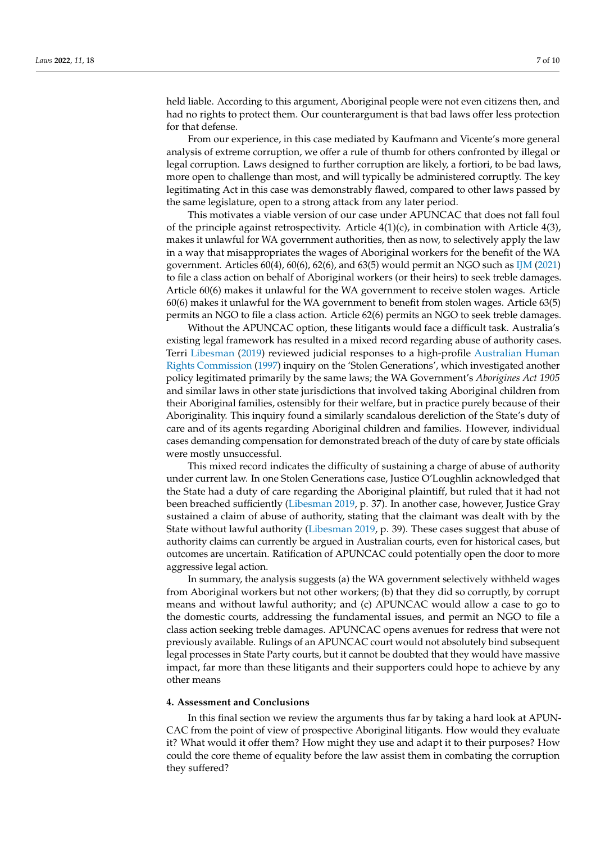held liable. According to this argument, Aboriginal people were not even citizens then, and had no rights to protect them. Our counterargument is that bad laws offer less protection for that defense.

From our experience, in this case mediated by Kaufmann and Vicente's more general analysis of extreme corruption, we offer a rule of thumb for others confronted by illegal or legal corruption. Laws designed to further corruption are likely, a fortiori, to be bad laws, more open to challenge than most, and will typically be administered corruptly. The key legitimating Act in this case was demonstrably flawed, compared to other laws passed by the same legislature, open to a strong attack from any later period.

This motivates a viable version of our case under APUNCAC that does not fall foul of the principle against retrospectivity. Article  $4(1)(c)$ , in combination with Article  $4(3)$ , makes it unlawful for WA government authorities, then as now, to selectively apply the law in a way that misappropriates the wages of Aboriginal workers for the benefit of the WA government. Articles 60(4), 60(6), 62(6), and 63(5) would permit an NGO such as [IJM](#page-8-13) [\(2021\)](#page-8-13) to file a class action on behalf of Aboriginal workers (or their heirs) to seek treble damages. Article 60(6) makes it unlawful for the WA government to receive stolen wages. Article 60(6) makes it unlawful for the WA government to benefit from stolen wages. Article 63(5) permits an NGO to file a class action. Article 62(6) permits an NGO to seek treble damages.

Without the APUNCAC option, these litigants would face a difficult task. Australia's existing legal framework has resulted in a mixed record regarding abuse of authority cases. Terri [Libesman](#page-8-10) [\(2019\)](#page-8-10) reviewed judicial responses to a high-profile [Australian Human](#page-9-5) [Rights Commission](#page-9-5) [\(1997\)](#page-9-5) inquiry on the 'Stolen Generations', which investigated another policy legitimated primarily by the same laws; the WA Government's *Aborigines Act 1905* and similar laws in other state jurisdictions that involved taking Aboriginal children from their Aboriginal families, ostensibly for their welfare, but in practice purely because of their Aboriginality. This inquiry found a similarly scandalous dereliction of the State's duty of care and of its agents regarding Aboriginal children and families. However, individual cases demanding compensation for demonstrated breach of the duty of care by state officials were mostly unsuccessful.

This mixed record indicates the difficulty of sustaining a charge of abuse of authority under current law. In one Stolen Generations case, Justice O'Loughlin acknowledged that the State had a duty of care regarding the Aboriginal plaintiff, but ruled that it had not been breached sufficiently [\(Libesman](#page-8-10) [2019,](#page-8-10) p. 37). In another case, however, Justice Gray sustained a claim of abuse of authority, stating that the claimant was dealt with by the State without lawful authority [\(Libesman](#page-8-10) [2019,](#page-8-10) p. 39). These cases suggest that abuse of authority claims can currently be argued in Australian courts, even for historical cases, but outcomes are uncertain. Ratification of APUNCAC could potentially open the door to more aggressive legal action.

In summary, the analysis suggests (a) the WA government selectively withheld wages from Aboriginal workers but not other workers; (b) that they did so corruptly, by corrupt means and without lawful authority; and (c) APUNCAC would allow a case to go to the domestic courts, addressing the fundamental issues, and permit an NGO to file a class action seeking treble damages. APUNCAC opens avenues for redress that were not previously available. Rulings of an APUNCAC court would not absolutely bind subsequent legal processes in State Party courts, but it cannot be doubted that they would have massive impact, far more than these litigants and their supporters could hope to achieve by any other means

#### <span id="page-6-0"></span>**4. Assessment and Conclusions**

In this final section we review the arguments thus far by taking a hard look at APUN-CAC from the point of view of prospective Aboriginal litigants. How would they evaluate it? What would it offer them? How might they use and adapt it to their purposes? How could the core theme of equality before the law assist them in combating the corruption they suffered?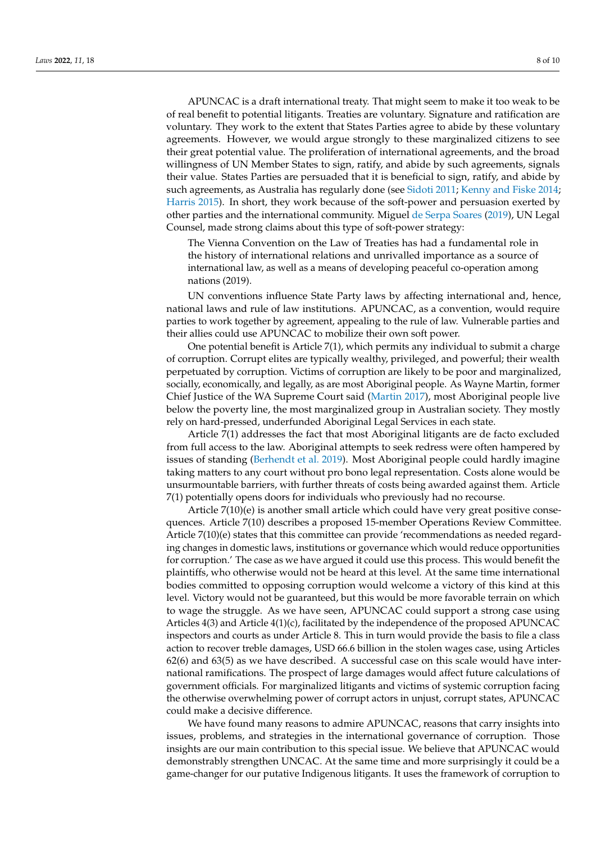APUNCAC is a draft international treaty. That might seem to make it too weak to be of real benefit to potential litigants. Treaties are voluntary. Signature and ratification are voluntary. They work to the extent that States Parties agree to abide by these voluntary agreements. However, we would argue strongly to these marginalized citizens to see their great potential value. The proliferation of international agreements, and the broad willingness of UN Member States to sign, ratify, and abide by such agreements, signals their value. States Parties are persuaded that it is beneficial to sign, ratify, and abide by such agreements, as Australia has regularly done (see [Sidoti](#page-8-14) [2011;](#page-8-14) [Kenny and Fiske](#page-8-15) [2014;](#page-8-15) [Harris](#page-8-16) [2015\)](#page-8-16). In short, they work because of the soft-power and persuasion exerted by other parties and the international community. Miguel [de Serpa Soares](#page-8-17) [\(2019\)](#page-8-17), UN Legal Counsel, made strong claims about this type of soft-power strategy:

The Vienna Convention on the Law of Treaties has had a fundamental role in the history of international relations and unrivalled importance as a source of international law, as well as a means of developing peaceful co-operation among nations (2019).

UN conventions influence State Party laws by affecting international and, hence, national laws and rule of law institutions. APUNCAC, as a convention, would require parties to work together by agreement, appealing to the rule of law. Vulnerable parties and their allies could use APUNCAC to mobilize their own soft power.

One potential benefit is Article 7(1), which permits any individual to submit a charge of corruption. Corrupt elites are typically wealthy, privileged, and powerful; their wealth perpetuated by corruption. Victims of corruption are likely to be poor and marginalized, socially, economically, and legally, as are most Aboriginal people. As Wayne Martin, former Chief Justice of the WA Supreme Court said [\(Martin](#page-8-18) [2017\)](#page-8-18), most Aboriginal people live below the poverty line, the most marginalized group in Australian society. They mostly rely on hard-pressed, underfunded Aboriginal Legal Services in each state.

Article 7(1) addresses the fact that most Aboriginal litigants are de facto excluded from full access to the law. Aboriginal attempts to seek redress were often hampered by issues of standing [\(Berhendt et al.](#page-8-19) [2019\)](#page-8-19). Most Aboriginal people could hardly imagine taking matters to any court without pro bono legal representation. Costs alone would be unsurmountable barriers, with further threats of costs being awarded against them. Article 7(1) potentially opens doors for individuals who previously had no recourse.

Article 7(10)(e) is another small article which could have very great positive consequences. Article 7(10) describes a proposed 15-member Operations Review Committee. Article 7(10)(e) states that this committee can provide 'recommendations as needed regarding changes in domestic laws, institutions or governance which would reduce opportunities for corruption.' The case as we have argued it could use this process. This would benefit the plaintiffs, who otherwise would not be heard at this level. At the same time international bodies committed to opposing corruption would welcome a victory of this kind at this level. Victory would not be guaranteed, but this would be more favorable terrain on which to wage the struggle. As we have seen, APUNCAC could support a strong case using Articles 4(3) and Article 4(1)(c), facilitated by the independence of the proposed APUNCAC inspectors and courts as under Article 8. This in turn would provide the basis to file a class action to recover treble damages, USD 66.6 billion in the stolen wages case, using Articles 62(6) and 63(5) as we have described. A successful case on this scale would have international ramifications. The prospect of large damages would affect future calculations of government officials. For marginalized litigants and victims of systemic corruption facing the otherwise overwhelming power of corrupt actors in unjust, corrupt states, APUNCAC could make a decisive difference.

We have found many reasons to admire APUNCAC, reasons that carry insights into issues, problems, and strategies in the international governance of corruption. Those insights are our main contribution to this special issue. We believe that APUNCAC would demonstrably strengthen UNCAC. At the same time and more surprisingly it could be a game-changer for our putative Indigenous litigants. It uses the framework of corruption to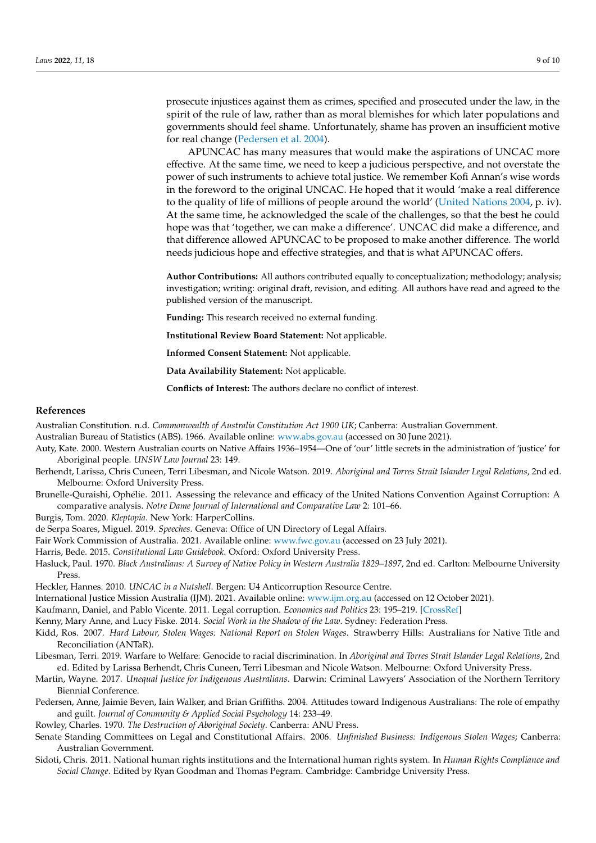prosecute injustices against them as crimes, specified and prosecuted under the law, in the spirit of the rule of law, rather than as moral blemishes for which later populations and governments should feel shame. Unfortunately, shame has proven an insufficient motive for real change [\(Pedersen et al.](#page-8-20) [2004\)](#page-8-20).

APUNCAC has many measures that would make the aspirations of UNCAC more effective. At the same time, we need to keep a judicious perspective, and not overstate the power of such instruments to achieve total justice. We remember Kofi Annan's wise words in the foreword to the original UNCAC. He hoped that it would 'make a real difference to the quality of life of millions of people around the world' [\(United Nations](#page-9-6) [2004,](#page-9-6) p. iv). At the same time, he acknowledged the scale of the challenges, so that the best he could hope was that 'together, we can make a difference'. UNCAC did make a difference, and that difference allowed APUNCAC to be proposed to make another difference. The world needs judicious hope and effective strategies, and that is what APUNCAC offers.

**Author Contributions:** All authors contributed equally to conceptualization; methodology; analysis; investigation; writing: original draft, revision, and editing. All authors have read and agreed to the published version of the manuscript.

**Funding:** This research received no external funding.

**Institutional Review Board Statement:** Not applicable.

**Informed Consent Statement:** Not applicable.

**Data Availability Statement:** Not applicable.

**Conflicts of Interest:** The authors declare no conflict of interest.

#### **References**

<span id="page-8-11"></span>Australian Constitution. n.d. *Commonwealth of Australia Constitution Act 1900 UK*; Canberra: Australian Government.

<span id="page-8-3"></span>Australian Bureau of Statistics (ABS). 1966. Available online: <www.abs.gov.au> (accessed on 30 June 2021).

- <span id="page-8-1"></span>Auty, Kate. 2000. Western Australian courts on Native Affairs 1936–1954—One of 'our' little secrets in the administration of 'justice' for Aboriginal people. *UNSW Law Journal* 23: 149.
- <span id="page-8-19"></span>Berhendt, Larissa, Chris Cuneen, Terri Libesman, and Nicole Watson. 2019. *Aboriginal and Torres Strait Islander Legal Relations*, 2nd ed. Melbourne: Oxford University Press.
- <span id="page-8-7"></span>Brunelle-Quraishi, Ophélie. 2011. Assessing the relevance and efficacy of the United Nations Convention Against Corruption: A comparative analysis. *Notre Dame Journal of International and Comparative Law* 2: 101–66.
- <span id="page-8-9"></span>Burgis, Tom. 2020. *Kleptopia*. New York: HarperCollins.

<span id="page-8-17"></span>de Serpa Soares, Miguel. 2019. *Speeches*. Geneva: Office of UN Directory of Legal Affairs.

- <span id="page-8-16"></span><span id="page-8-4"></span>Fair Work Commission of Australia. 2021. Available online: <www.fwc.gov.au> (accessed on 23 July 2021).
- Harris, Bede. 2015. *Constitutional Law Guidebook*. Oxford: Oxford University Press.
- <span id="page-8-0"></span>Hasluck, Paul. 1970. *Black Australians: A Survey of Native Policy in Western Australia 1829–1897*, 2nd ed. Carlton: Melbourne University Press.
- <span id="page-8-13"></span><span id="page-8-8"></span>Heckler, Hannes. 2010. *UNCAC in a Nutshell*. Bergen: U4 Anticorruption Resource Centre.
- International Justice Mission Australia (IJM). 2021. Available online: <www.ijm.org.au> (accessed on 12 October 2021).
- <span id="page-8-15"></span><span id="page-8-12"></span>Kaufmann, Daniel, and Pablo Vicente. 2011. Legal corruption. *Economics and Politics* 23: 195–219. [\[CrossRef\]](http://doi.org/10.1111/j.1468-0343.2010.00377.x)

Kenny, Mary Anne, and Lucy Fiske. 2014. *Social Work in the Shadow of the Law*. Sydney: Federation Press.

<span id="page-8-6"></span>Kidd, Ros. 2007. *Hard Labour, Stolen Wages: National Report on Stolen Wages*. Strawberry Hills: Australians for Native Title and Reconciliation (ANTaR).

- <span id="page-8-10"></span>Libesman, Terri. 2019. Warfare to Welfare: Genocide to racial discrimination. In *Aboriginal and Torres Strait Islander Legal Relations*, 2nd ed. Edited by Larissa Berhendt, Chris Cuneen, Terri Libesman and Nicole Watson. Melbourne: Oxford University Press.
- <span id="page-8-18"></span>Martin, Wayne. 2017. *Unequal Justice for Indigenous Australians*. Darwin: Criminal Lawyers' Association of the Northern Territory Biennial Conference.
- <span id="page-8-20"></span>Pedersen, Anne, Jaimie Beven, Iain Walker, and Brian Griffiths. 2004. Attitudes toward Indigenous Australians: The role of empathy and guilt. *Journal of Community & Applied Social Psychology* 14: 233–49.
- <span id="page-8-5"></span>Rowley, Charles. 1970. *The Destruction of Aboriginal Society*. Canberra: ANU Press.
- <span id="page-8-2"></span>Senate Standing Committees on Legal and Constitutional Affairs. 2006. *Unfinished Business: Indigenous Stolen Wages*; Canberra: Australian Government.
- <span id="page-8-14"></span>Sidoti, Chris. 2011. National human rights institutions and the International human rights system. In *Human Rights Compliance and Social Change*. Edited by Ryan Goodman and Thomas Pegram. Cambridge: Cambridge University Press.